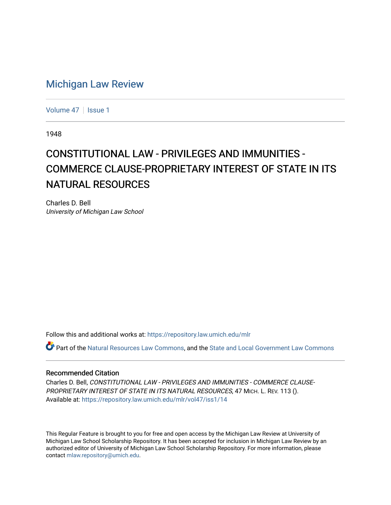## [Michigan Law Review](https://repository.law.umich.edu/mlr)

[Volume 47](https://repository.law.umich.edu/mlr/vol47) | [Issue 1](https://repository.law.umich.edu/mlr/vol47/iss1)

1948

## CONSTITUTIONAL LAW - PRIVILEGES AND IMMUNITIES -COMMERCE CLAUSE-PROPRIETARY INTEREST OF STATE IN ITS NATURAL RESOURCES

Charles D. Bell University of Michigan Law School

Follow this and additional works at: [https://repository.law.umich.edu/mlr](https://repository.law.umich.edu/mlr?utm_source=repository.law.umich.edu%2Fmlr%2Fvol47%2Fiss1%2F14&utm_medium=PDF&utm_campaign=PDFCoverPages) 

Part of the [Natural Resources Law Commons](http://network.bepress.com/hgg/discipline/863?utm_source=repository.law.umich.edu%2Fmlr%2Fvol47%2Fiss1%2F14&utm_medium=PDF&utm_campaign=PDFCoverPages), and the [State and Local Government Law Commons](http://network.bepress.com/hgg/discipline/879?utm_source=repository.law.umich.edu%2Fmlr%2Fvol47%2Fiss1%2F14&utm_medium=PDF&utm_campaign=PDFCoverPages)

## Recommended Citation

Charles D. Bell, CONSTITUTIONAL LAW - PRIVILEGES AND IMMUNITIES - COMMERCE CLAUSE-PROPRIETARY INTEREST OF STATE IN ITS NATURAL RESOURCES, 47 MICH. L. REV. 113 (). Available at: [https://repository.law.umich.edu/mlr/vol47/iss1/14](https://repository.law.umich.edu/mlr/vol47/iss1/14?utm_source=repository.law.umich.edu%2Fmlr%2Fvol47%2Fiss1%2F14&utm_medium=PDF&utm_campaign=PDFCoverPages) 

This Regular Feature is brought to you for free and open access by the Michigan Law Review at University of Michigan Law School Scholarship Repository. It has been accepted for inclusion in Michigan Law Review by an authorized editor of University of Michigan Law School Scholarship Repository. For more information, please contact [mlaw.repository@umich.edu](mailto:mlaw.repository@umich.edu).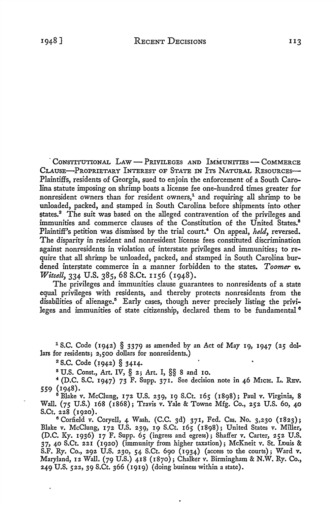CONSTITUTIONAL LAW - PRIVILEGES AND IMMUNITIES - COMMERCE CLAUSE-PROPRIETARY INTEREST OF STATE IN ITS NATURAL RESOURCES-Plaintiffs, residents of Georgia, sued to enjoin the enforcement of a South Carolina statute imposing on shrimp boats a license fee one-hundred times greater for nonresident owners than for resident owners, $<sup>1</sup>$  and requiring all shrimp to be</sup> unloaded, packed, and stamped in South Carolina before shipments into other states.2 The suit was based on the alleged contravention of the privileges and immunities and commerce clauses of the Constitution of the United States.<sup>8</sup> Plaintiff's petition was dismissed by the trial court.<sup>4</sup> On appeal, *held*, reversed. The disparity in resident and nonresident license fees constituted discrimination against nonresidents in violation of interstate privileges and immunities; to require that all shrimp be unloaded, packed, and stamped in South Carolina burdened interstate commerce in a manner forbidden to the states. *Toomer v*. *Witsell, 334 U.S. 385, 68 S.Ct. 1156 (1948).* 

The privileges and immunities clause guarantees to nonresidents of a state equal privileges with residents, and thereby protects nonresidents from the disabilities of alienage.<sup>5</sup> Early cases, though never precisely listing the privileges and immunities of state citizenship, declared them to be fundamental <sup>6</sup>

 $1$  S.C. Code (1942) § 3379 as amended by an Act of May 19, 1947 (25 dollars for residents; 2,500 dollars for nonresidents.)

 $2$  S.C. Code (1942) § 3414.

8 U.S. Const., Art. IV, § 2; Art. I, §§ 8 and IO.

 $*$  (D.C. S.C. 1947) 73 F. Supp. 371. See decision note in 46 MICH. L. REV. 559 (1948).

 $5$  Blake v. McClung, 172 U.S. 239, 19 S.Ct. 165 (1898); Paul v. Virginia, 8 Wall. (75 U.S.) 168 (1868); Travis v. Yale & Towne Mfg. Co., 252 U.S. 60, 40 S.Ct. 228 (1920).

 $6$  Corfield v. Coryell, 4 Wash. (C.C. 3d) 371, Fed. Cas. No. 3,230 (1823); Blake v. McClung, 172 U.S. 239, 19 S.Ct. 165 (1898); United States v. Miller, (D.C. Ky. 1936) 17 F. Supp. 65 (ingress and egress); Shaffer v. Carter, 252 U.S. 37, 40 S.Ct. 221 (1920) (immunity from higher taxation); McKneit v. St. Louis & S.F. Ry. Co., 292 U.S. 230, 54 S.Ct. 690 (1934) (access to the courts); Ward v. Maryland, 12 Wall. (79 U.S.) 418 (1870); Chalker v. Birmingham & N.W. Ry. Co., 249 U.S. 522, 39 S.Ct. 366 (1919) (doing business within a state).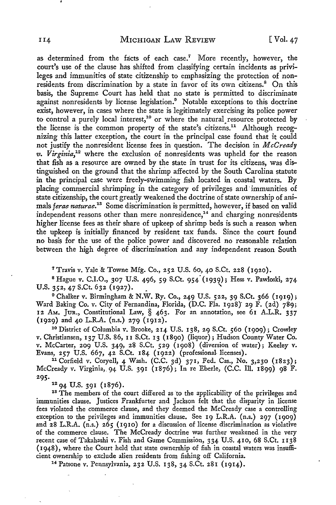as determined from the facts of each case.<sup>7</sup> More recently, however, the court's use of the clause has shifted from classifying certain incidents as privileges and immunities of state citizenship to emphasizing the protection of nonresidents from discrimination by a state in favor of its own citizens.<sup>8</sup> On this basis, the Supreme Court has held that no state is permitted to discriminate against nonresidents by license legislation.<sup>9</sup> Notable exceptions to this doctrine exist, however, in cases where the state is legitimately exercising its police power to control a purely local interest,<sup>10</sup> or where the natural resource protected by the license is the common property of the state's citizens.<sup>11</sup> Although recognizing this latter exception, the court in the principal case found that it could not justify the nonresident license fees in question. The decision in *McCready v. Virginia,<sup>12</sup>*where the exclusion of nonresidents was upheld for the reason that fish as a resource are owned by the state in trust for its citizens, was distinguished on the ground that the shrimp affected by the South Carolina statute in the principal case were freely-swimming fish located in coastal waters. By placing commercial shrimping in the category of privileges and· immunities of state citizenship, the court greatly weakened the doctrine of state ownership of animals *ferae naturae*.<sup>18</sup> Some discrimination is permitted, however, if based on valid independent reasons other than mere nonresidence, $14$  and charging nonresidents higher license fees as their share of upkeep of shrimp beds is such a reason when the upkeep is initially financed by resident tax funds. Since the court found no basis for the use of the police power and discovered no reasonable relation between the high degree of discrimination and any independent reason South

7 Travis v. Yale & Towne Mfg. Co., 252 U.S. 60, 40 S.Ct. 228 (1920).

<sup>8</sup>Hague v. C.I.O., 307 U.S. 496, 59 S.Ct. 954· (1939); Hess v. Pawloski, 274 U.S. 352, 47 S.Ct. 632 (1927).

<sup>9</sup> Chalker v. Birmingham & N.W. Ry. Co., 249 U.S. 522, 39 S.Ct. 366 (1919); Ward Baking Co. v. City of Fernandina, Florida, (D.C. Fla. 1928)' 29 F. (2d) 789; 12 AM. JuR., Constitutional Law, § 463. For an annotation, see 61 A.L.R. 337 (1929) and 40 L.R.A. (n.s.) 279 (1912).<br><sup>10</sup> District of Columbia v. Brooke, 214 U.S. 138, 29 S.Ct. 560 (1909); Crowley

v. Christiansen, l3j U.S. 86, II S.Ct. 13 (1890) (liquor); Hudson County Water Co. v. McCarter, 209 U.S. 349, 28 S.Ct. 529 (1908) (diversion of water); Keeley v. Evans, 257 U.S. 667, 42 S.Ct. 184 (1922) (professional- licenses).

<sup>11</sup> Corfield v. Coryell, 4 Wash. (C.C. 3d) 371, Fed. Cas., No. 3,230 (1823); McCready v. Virginia, 94 U.S. 391 (1876); In re Eberle, (C.C. Ill. 1899) 98 F.

295.  $1294$  U.S. 391 (1876).<br><sup>12</sup>94 U.S. 391 (1876). <sup>18</sup> The members of the court differed as to the applicability of the privileges and immunities clause. Justices Frankfurter and Jackson felt that the disparity in license fees violated the commerce clause, and they deemed the McCready case a controlling exception to the privileges and immunities clause. See  $I_9$  L.R.A. (n.s.) 297 (1909) and 28 L.R.A. (n.s.) 265 (1910) for a discussion of license discrimination as violative of the commerce clause. The McCready doctrine was further weakened in the very recent case of Takahashi v. Fish and Game Commission, 334 U.S. 410, 68 S.Ct. 1138 (1948), where the Court held that state ownership of fish in coastal waters was insufficient ownership to exclude alien residents from fishing off California.

14 Patsone v. Pennsylvania, 232 U.S. 138, 34 S.Ct. 281 (1914).